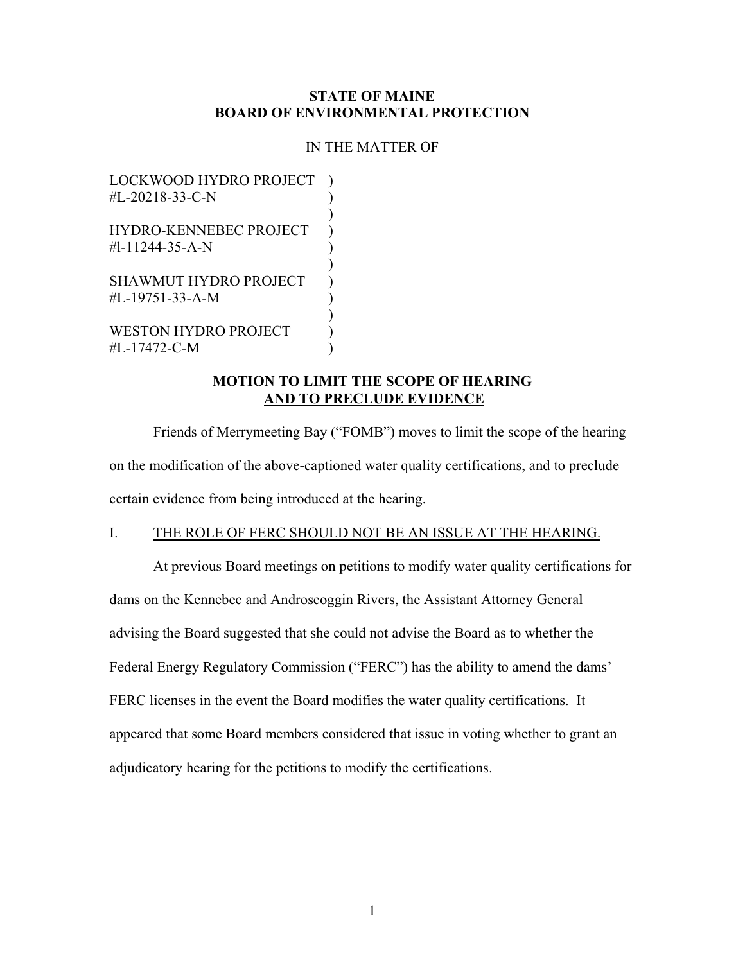## **STATE OF MAINE BOARD OF ENVIRONMENTAL PROTECTION**

#### IN THE MATTER OF

LOCKWOOD HYDRO PROJECT )  $#L-20218-33-C-N$ ) HYDRO-KENNEBEC PROJECT )  $\text{#l-11244-35-A-N}$  ) ) SHAWMUT HYDRO PROJECT )  $\#L-19751-33-A-M$  ) )

WESTON HYDRO PROJECT ) #L-17472-C-M )

## **MOTION TO LIMIT THE SCOPE OF HEARING AND TO PRECLUDE EVIDENCE**

Friends of Merrymeeting Bay ("FOMB") moves to limit the scope of the hearing on the modification of the above-captioned water quality certifications, and to preclude certain evidence from being introduced at the hearing.

# I. THE ROLE OF FERC SHOULD NOT BE AN ISSUE AT THE HEARING.

At previous Board meetings on petitions to modify water quality certifications for dams on the Kennebec and Androscoggin Rivers, the Assistant Attorney General advising the Board suggested that she could not advise the Board as to whether the Federal Energy Regulatory Commission ("FERC") has the ability to amend the dams' FERC licenses in the event the Board modifies the water quality certifications. It appeared that some Board members considered that issue in voting whether to grant an adjudicatory hearing for the petitions to modify the certifications.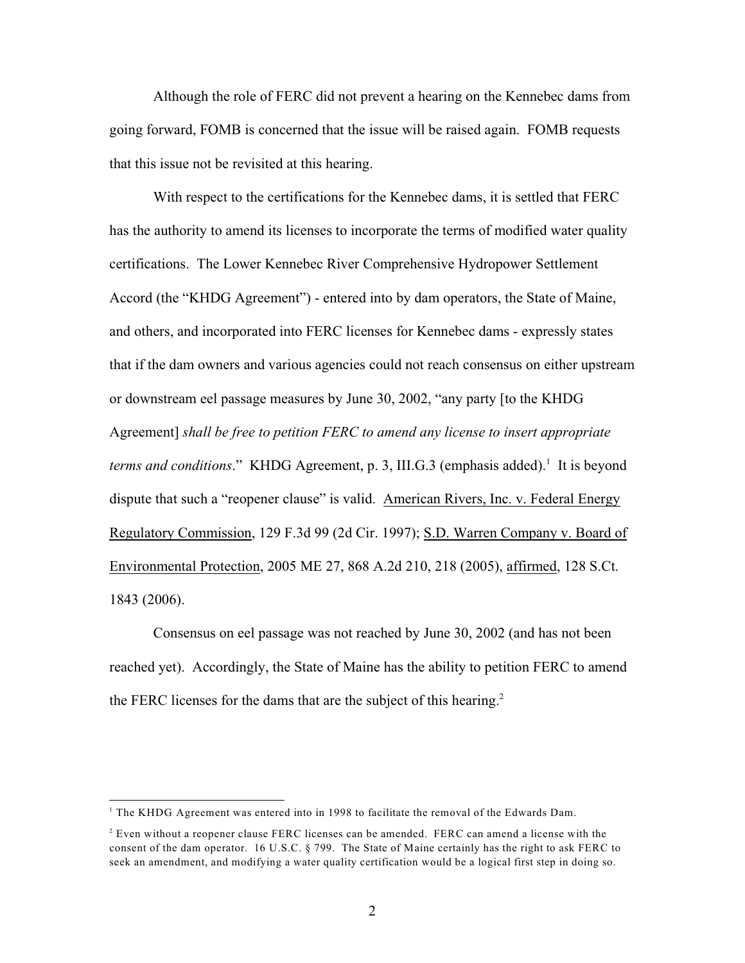Although the role of FERC did not prevent a hearing on the Kennebec dams from going forward, FOMB is concerned that the issue will be raised again. FOMB requests that this issue not be revisited at this hearing.

With respect to the certifications for the Kennebec dams, it is settled that FERC has the authority to amend its licenses to incorporate the terms of modified water quality certifications. The Lower Kennebec River Comprehensive Hydropower Settlement Accord (the "KHDG Agreement") - entered into by dam operators, the State of Maine, and others, and incorporated into FERC licenses for Kennebec dams - expressly states that if the dam owners and various agencies could not reach consensus on either upstream or downstream eel passage measures by June 30, 2002, "any party [to the KHDG Agreement] *shall be free to petition FERC to amend any license to insert appropriate terms and conditions.*" KHDG Agreement, p. 3, III.G.3 (emphasis added).<sup>1</sup> It is beyond dispute that such a "reopener clause" is valid. American Rivers, Inc. v. Federal Energy Regulatory Commission, 129 F.3d 99 (2d Cir. 1997); S.D. Warren Company v. Board of Environmental Protection, 2005 ME 27, 868 A.2d 210, 218 (2005), affirmed, 128 S.Ct. 1843 (2006).

Consensus on eel passage was not reached by June 30, 2002 (and has not been reached yet). Accordingly, the State of Maine has the ability to petition FERC to amend the FERC licenses for the dams that are the subject of this hearing.<sup>2</sup>

 $<sup>1</sup>$  The KHDG Agreement was entered into in 1998 to facilitate the removal of the Edwards Dam.</sup>

 $<sup>2</sup>$  Even without a reopener clause FERC licenses can be amended. FERC can amend a license with the</sup> consent of the dam operator. 16 U.S.C. § 799. The State of Maine certainly has the right to ask FERC to seek an amendment, and modifying a water quality certification would be a logical first step in doing so.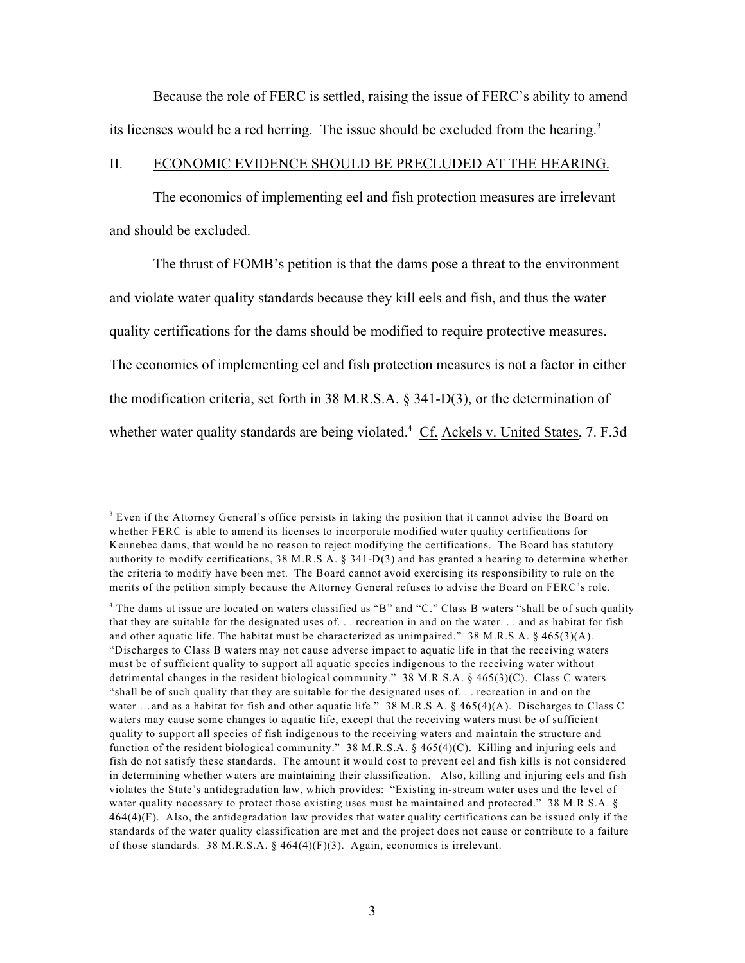Because the role of FERC is settled, raising the issue of FERC's ability to amend its licenses would be a red herring. The issue should be excluded from the hearing.<sup>3</sup>

#### II. ECONOMIC EVIDENCE SHOULD BE PRECLUDED AT THE HEARING.

The economics of implementing eel and fish protection measures are irrelevant and should be excluded.

The thrust of FOMB's petition is that the dams pose a threat to the environment and violate water quality standards because they kill eels and fish, and thus the water quality certifications for the dams should be modified to require protective measures. The economics of implementing eel and fish protection measures is not a factor in either the modification criteria, set forth in 38 M.R.S.A. § 341-D(3), or the determination of whether water quality standards are being violated.<sup>4</sup> Cf. Ackels v. United States, 7. F.3d

<sup>&</sup>lt;sup>3</sup> Even if the Attorney General's office persists in taking the position that it cannot advise the Board on whether FERC is able to amend its licenses to incorporate modified water quality certifications for Kennebec dams, that would be no reason to reject modifying the certifications. The Board has statutory authority to modify certifications, 38 M.R.S.A. § 341-D(3) and has granted a hearing to determine whether the criteria to modify have been met. The Board cannot avoid exercising its responsibility to rule on the merits of the petition simply because the Attorney General refuses to advise the Board on FERC's role.

<sup>&</sup>lt;sup>4</sup> The dams at issue are located on waters classified as "B" and "C." Class B waters "shall be of such quality that they are suitable for the designated uses of. . . recreation in and on the water. . . and as habitat for fish and other aquatic life. The habitat must be characterized as unimpaired." 38 M.R.S.A. § 465(3)(A). "Discharges to Class B waters may not cause adverse impact to aquatic life in that the receiving waters must be of sufficient quality to support all aquatic species indigenous to the receiving water without detrimental changes in the resident biological community." 38 M.R.S.A. § 465(3)(C). Class C waters "shall be of such quality that they are suitable for the designated uses of. . . recreation in and on the water ... and as a habitat for fish and other aquatic life." 38 M.R.S.A. § 465(4)(A). Discharges to Class C waters may cause some changes to aquatic life, except that the receiving waters must be of sufficient quality to support all species of fish indigenous to the receiving waters and maintain the structure and function of the resident biological community." 38 M.R.S.A.  $\S$  465(4)(C). Killing and injuring eels and fish do not satisfy these standards. The amount it would cost to prevent eel and fish kills is not considered in determining whether waters are maintaining their classification. Also, killing and injuring eels and fish violates the State's antidegradation law, which provides: "Existing in-stream water uses and the level of water quality necessary to protect those existing uses must be maintained and protected." 38 M.R.S.A. § 464(4)(F). Also, the antidegradation law provides that water quality certifications can be issued only if the standards of the water quality classification are met and the project does not cause or contribute to a failure of those standards. 38 M.R.S.A. § 464(4)(F)(3). Again, economics is irrelevant.